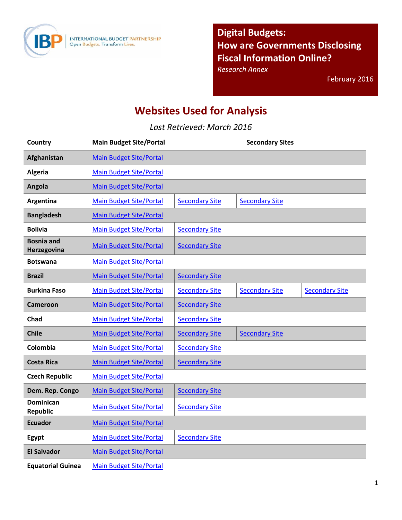

**Digital Budgets: How are Governments Disclosing Fiscal Information Online?** 

*Research Annex* 

February 2016

## **Websites Used for Analysis**

*Last Retrieved: March 2016* 

| Country                             | <b>Main Budget Site/Portal</b> |                       | <b>Secondary Sites</b> |                       |
|-------------------------------------|--------------------------------|-----------------------|------------------------|-----------------------|
| Afghanistan                         | <b>Main Budget Site/Portal</b> |                       |                        |                       |
| <b>Algeria</b>                      | <b>Main Budget Site/Portal</b> |                       |                        |                       |
| Angola                              | <b>Main Budget Site/Portal</b> |                       |                        |                       |
| Argentina                           | <b>Main Budget Site/Portal</b> | <b>Secondary Site</b> | <b>Secondary Site</b>  |                       |
| <b>Bangladesh</b>                   | <b>Main Budget Site/Portal</b> |                       |                        |                       |
| <b>Bolivia</b>                      | <b>Main Budget Site/Portal</b> | <b>Secondary Site</b> |                        |                       |
| <b>Bosnia and</b><br>Herzegovina    | <b>Main Budget Site/Portal</b> | <b>Secondary Site</b> |                        |                       |
| <b>Botswana</b>                     | <b>Main Budget Site/Portal</b> |                       |                        |                       |
| <b>Brazil</b>                       | <b>Main Budget Site/Portal</b> | <b>Secondary Site</b> |                        |                       |
| <b>Burkina Faso</b>                 | <b>Main Budget Site/Portal</b> | <b>Secondary Site</b> | <b>Secondary Site</b>  | <b>Secondary Site</b> |
| <b>Cameroon</b>                     | <b>Main Budget Site/Portal</b> | <b>Secondary Site</b> |                        |                       |
| Chad                                | <b>Main Budget Site/Portal</b> | <b>Secondary Site</b> |                        |                       |
| <b>Chile</b>                        | <b>Main Budget Site/Portal</b> | <b>Secondary Site</b> | <b>Secondary Site</b>  |                       |
| Colombia                            | <b>Main Budget Site/Portal</b> | <b>Secondary Site</b> |                        |                       |
| <b>Costa Rica</b>                   | <b>Main Budget Site/Portal</b> | <b>Secondary Site</b> |                        |                       |
| <b>Czech Republic</b>               | <b>Main Budget Site/Portal</b> |                       |                        |                       |
| Dem. Rep. Congo                     | <b>Main Budget Site/Portal</b> | <b>Secondary Site</b> |                        |                       |
| <b>Dominican</b><br><b>Republic</b> | <b>Main Budget Site/Portal</b> | <b>Secondary Site</b> |                        |                       |
| <b>Ecuador</b>                      | <b>Main Budget Site/Portal</b> |                       |                        |                       |
| Egypt                               | <b>Main Budget Site/Portal</b> | <b>Secondary Site</b> |                        |                       |
| <b>El Salvador</b>                  | <b>Main Budget Site/Portal</b> |                       |                        |                       |
| <b>Equatorial Guinea</b>            | <b>Main Budget Site/Portal</b> |                       |                        |                       |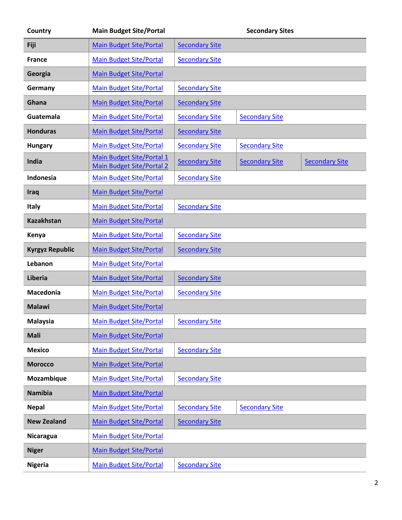| Country                | <b>Main Budget Site/Portal</b>                                |                       | <b>Secondary Sites</b> |                       |
|------------------------|---------------------------------------------------------------|-----------------------|------------------------|-----------------------|
| Fiji                   | <b>Main Budget Site/Portal</b>                                | <b>Secondary Site</b> |                        |                       |
| <b>France</b>          | <b>Main Budget Site/Portal</b>                                | <b>Secondary Site</b> |                        |                       |
| Georgia                | <b>Main Budget Site/Portal</b>                                |                       |                        |                       |
| Germany                | <b>Main Budget Site/Portal</b>                                | <b>Secondary Site</b> |                        |                       |
| Ghana                  | <b>Main Budget Site/Portal</b>                                | <b>Secondary Site</b> |                        |                       |
| Guatemala              | <b>Main Budget Site/Portal</b>                                | <b>Secondary Site</b> | <b>Secondary Site</b>  |                       |
| <b>Honduras</b>        | <b>Main Budget Site/Portal</b>                                | <b>Secondary Site</b> |                        |                       |
| <b>Hungary</b>         | <b>Main Budget Site/Portal</b>                                | <b>Secondary Site</b> | <b>Secondary Site</b>  |                       |
| India                  | Main Budget Site/Portal 1<br><b>Main Budget Site/Portal 2</b> | <b>Secondary Site</b> | <b>Secondary Site</b>  | <b>Secondary Site</b> |
| Indonesia              | <b>Main Budget Site/Portal</b>                                | <b>Secondary Site</b> |                        |                       |
| Iraq                   | <b>Main Budget Site/Portal</b>                                |                       |                        |                       |
| <b>Italy</b>           | <b>Main Budget Site/Portal</b>                                | <b>Secondary Site</b> |                        |                       |
| <b>Kazakhstan</b>      | <b>Main Budget Site/Portal</b>                                |                       |                        |                       |
| Kenya                  | <b>Main Budget Site/Portal</b>                                | <b>Secondary Site</b> |                        |                       |
| <b>Kyrgyz Republic</b> | <b>Main Budget Site/Portal</b>                                | <b>Secondary Site</b> |                        |                       |
| Lebanon                | <b>Main Budget Site/Portal</b>                                |                       |                        |                       |
| Liberia                | <b>Main Budget Site/Portal</b>                                | <b>Secondary Site</b> |                        |                       |
| <b>Macedonia</b>       | <b>Main Budget Site/Portal</b>                                | <b>Secondary Site</b> |                        |                       |
| <b>Malawi</b>          | <b>Main Budget Site/Portal</b>                                |                       |                        |                       |
| <b>Malaysia</b>        | <b>Main Budget Site/Portal</b>                                | <b>Secondary Site</b> |                        |                       |
| <b>Mali</b>            | <b>Main Budget Site/Portal</b>                                |                       |                        |                       |
| <b>Mexico</b>          | <b>Main Budget Site/Portal</b>                                | <b>Secondary Site</b> |                        |                       |
| <b>Morocco</b>         | <b>Main Budget Site/Portal</b>                                |                       |                        |                       |
| Mozambique             | <b>Main Budget Site/Portal</b>                                | <b>Secondary Site</b> |                        |                       |
| <b>Namibia</b>         | <b>Main Budget Site/Portal</b>                                |                       |                        |                       |
| <b>Nepal</b>           | <b>Main Budget Site/Portal</b>                                | <b>Secondary Site</b> | <b>Secondary Site</b>  |                       |
| <b>New Zealand</b>     | <b>Main Budget Site/Portal</b>                                | <b>Secondary Site</b> |                        |                       |
| Nicaragua              | <b>Main Budget Site/Portal</b>                                |                       |                        |                       |
| <b>Niger</b>           | <b>Main Budget Site/Portal</b>                                |                       |                        |                       |
| <b>Nigeria</b>         | <b>Main Budget Site/Portal</b>                                | <b>Secondary Site</b> |                        |                       |